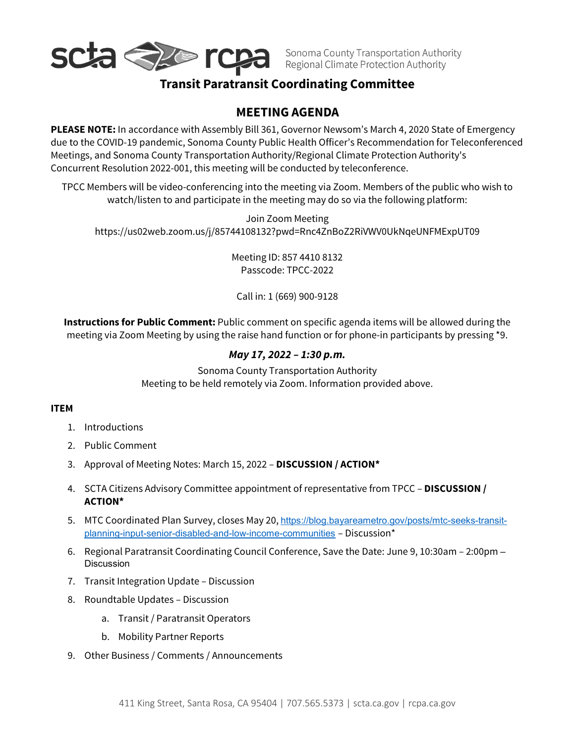

Sonoma County Transportation Authority<br>Regional Climate Protection Authority

## **Transit Paratransit Coordinating Committee**

### <sup>1</sup>**MEETING AGENDA**

**PLEASE NOTE:** In accordance with Assembly Bill 361, Governor Newsom's March 4, 2020 State of Emergency due to the COVID-19 pandemic, Sonoma County Public Health Officer's Recommendation for Teleconferenced Meetings, and Sonoma County Transportation Authority/Regional Climate Protection Authority's Concurrent Resolution 2022-001, this meeting will be conducted by teleconference.

TPCC Members will be video-conferencing into the meeting via Zoom. Members of the public who wish to watch/listen to and participate in the meeting may do so via the following platform:

Join Zoom Meeting https://us02web.zoom.us/j/85744108132?pwd=Rnc4ZnBoZ2RiVWV0UkNqeUNFMExpUT09

> Meeting ID: 857 4410 8132 Passcode: TPCC-2022

Call in: 1 (669) 900-9128

**Instructions for Public Comment:** Public comment on specific agenda items will be allowed during the meeting via Zoom Meeting by using the raise hand function or for phone-in participants by pressing \*9.

#### *May 17, 2022 – 1:30 p.m.*

Sonoma County Transportation Authority Meeting to be held remotely via Zoom. Information provided above.

#### **ITEM**

- 1. Introductions
- 2. Public Comment
- 3. Approval of Meeting Notes: March 15, 2022 **DISCUSSION / ACTION\***
- 4. SCTA Citizens Advisory Committee appointment of representative from TPCC **DISCUSSION / ACTION\***
- 5. MTC Coordinated Plan Survey, closes May 20, [https://blog.bayareametro.gov/posts/mtc-seeks-transit](https://blog.bayareametro.gov/posts/mtc-seeks-transit-planning-input-senior-disabled-and-low-income-communities)[planning-input-senior-disabled-and-low-income-communities](https://blog.bayareametro.gov/posts/mtc-seeks-transit-planning-input-senior-disabled-and-low-income-communities) – Discussion\*
- 6. Regional Paratransit Coordinating Council Conference, Save the Date: June 9, 10:30am 2:00pm **Discussion**
- 7. Transit Integration Update Discussion
- 8. Roundtable Updates Discussion
	- a. Transit / Paratransit Operators
	- b. Mobility Partner Reports
- 9. Other Business / Comments / Announcements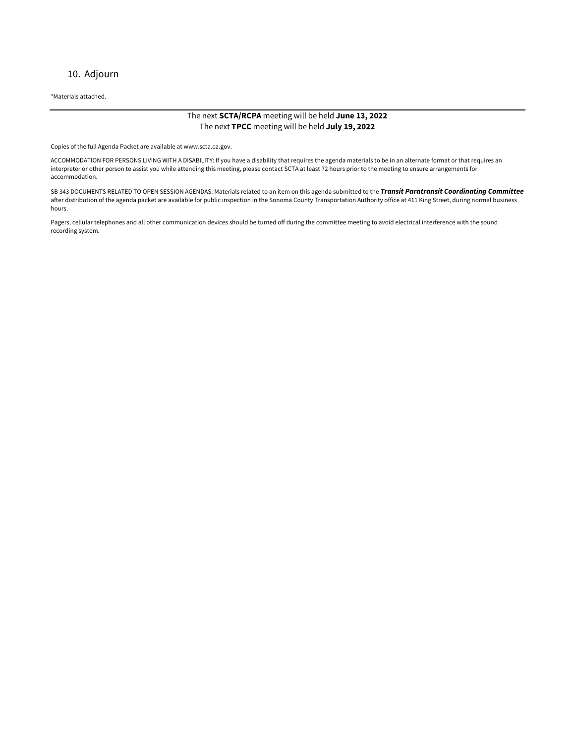#### 10. Adjourn

\*Materials attached.

#### The next **SCTA/RCPA** meeting will be held **June 13, 2022** The next **TPCC** meeting will be held **July 19, 2022**

Copies of the full Agenda Packet are available at www.scta.ca.gov.

ACCOMMODATION FOR PERSONS LIVING WITH A DISABILITY: If you have a disability that requires the agenda materials to be in an alternate format or that requires an interpreter or other person to assist you while attending this meeting, please contact SCTA at least 72 hours prior to the meeting to ensure arrangements for accommodation.

SB 343 DOCUMENTS RELATED TO OPEN SESSION AGENDAS: Materials related to an item on this agenda submitted to the *Transit Paratransit Coordinating Committee* after distribution of the agenda packet are available for public inspection in the Sonoma County Transportation Authority office at 411 King Street, during normal business hours.

Pagers, cellular telephones and all other communication devices should be turned off during the committee meeting to avoid electrical interference with the sound recording system.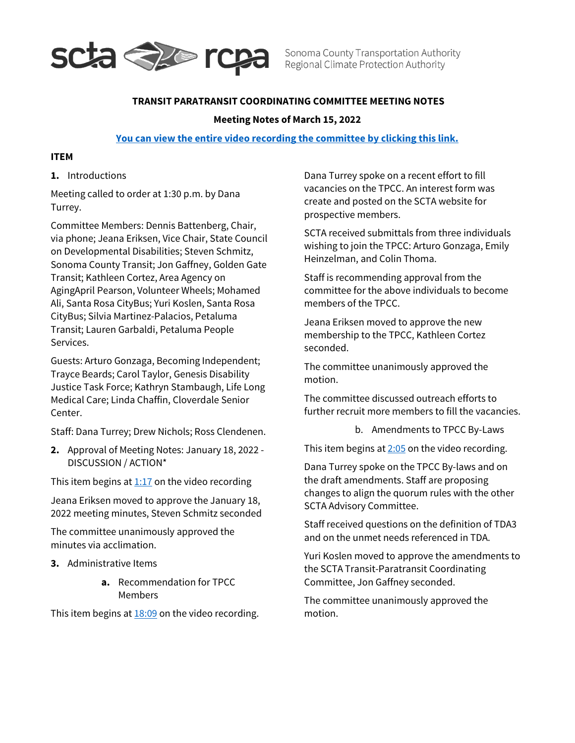

Sonoma County Transportation Authority Regional Climate Protection Authority

#### **TRANSIT PARATRANSIT COORDINATING COMMITTEE MEETING NOTES**

#### **Meeting Notes of March 15, 2022**

#### **[You can view the entire video recording the committee by clicking this link.](https://www.youtube.com/watch?v=OnG0nZqd9jE)**

#### **ITEM**

**1.** Introductions

Meeting called to order at 1:30 p.m. by Dana Turrey.

Committee Members: Dennis Battenberg, Chair, via phone; Jeana Eriksen, Vice Chair, State Council on Developmental Disabilities; Steven Schmitz, Sonoma County Transit; Jon Gaffney, Golden Gate Transit; Kathleen Cortez, Area Agency on AgingApril Pearson, Volunteer Wheels; Mohamed Ali, Santa Rosa CityBus; Yuri Koslen, Santa Rosa CityBus; Silvia Martinez-Palacios, Petaluma Transit; Lauren Garbaldi, Petaluma People Services.

Guests: Arturo Gonzaga, Becoming Independent; Trayce Beards; Carol Taylor, Genesis Disability Justice Task Force; Kathryn Stambaugh, Life Long Medical Care; Linda Chaffin, Cloverdale Senior Center.

Staff: Dana Turrey; Drew Nichols; Ross Clendenen.

**2.** Approval of Meeting Notes: January 18, 2022 - DISCUSSION / ACTION\*

This item begins at  $1:17$  on the video recording

Jeana Eriksen moved to approve the January 18, 2022 meeting minutes, Steven Schmitz seconded

The committee unanimously approved the minutes via acclimation.

- **3.** Administrative Items
	- **a.** Recommendation for TPCC Members

This item begins at  $18:09$  on the video recording.

Dana Turrey spoke on a recent effort to fill vacancies on the TPCC. An interest form was create and posted on the SCTA website for prospective members.

SCTA received submittals from three individuals wishing to join the TPCC: Arturo Gonzaga, Emily Heinzelman, and Colin Thoma.

Staff is recommending approval from the committee for the above individuals to become members of the TPCC.

Jeana Eriksen moved to approve the new membership to the TPCC, Kathleen Cortez seconded.

The committee unanimously approved the motion.

The committee discussed outreach efforts to further recruit more members to fill the vacancies.

b. Amendments to TPCC By-Laws

This item begins at  $2:05$  on the video recording.

Dana Turrey spoke on the TPCC By-laws and on the draft amendments. Staff are proposing changes to align the quorum rules with the other SCTA Advisory Committee.

Staff received questions on the definition of TDA3 and on the unmet needs referenced in TDA.

Yuri Koslen moved to approve the amendments to the SCTA Transit-Paratransit Coordinating Committee, Jon Gaffney seconded.

The committee unanimously approved the motion.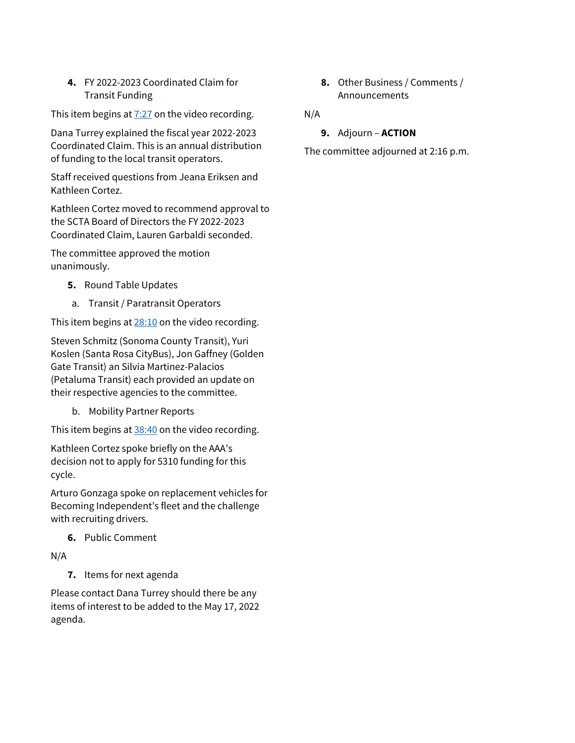**4.** FY 2022-2023 Coordinated Claim for Transit Funding

This item begins at  $7:27$  on the video recording.

Dana Turrey explained the fiscal year 2022-2023 Coordinated Claim. This is an annual distribution of funding to the local transit operators.

Staff received questions from Jeana Eriksen and Kathleen Cortez.

Kathleen Cortez moved to recommend approval to the SCTA Board of Directors the FY 2022-2023 Coordinated Claim, Lauren Garbaldi seconded.

The committee approved the motion unanimously.

- **5.** Round Table Updates
- a. Transit / Paratransit Operators

This item begins at  $28:10$  on the video recording.

Steven Schmitz (Sonoma County Transit), Yuri Koslen (Santa Rosa CityBus), Jon Gaffney (Golden Gate Transit) an Silvia Martinez-Palacios (Petaluma Transit) each provided an update on their respective agencies to the committee.

b. Mobility Partner Reports

This item begins at  $38:40$  on the video recording.

Kathleen Cortez spoke briefly on the AAA's decision not to apply for 5310 funding for this cycle.

Arturo Gonzaga spoke on replacement vehicles for Becoming Independent's fleet and the challenge with recruiting drivers.

**6.** Public Comment

N/A

**7.** Items for next agenda

Please contact Dana Turrey should there be any items of interest to be added to the May 17, 2022 agenda.

**8.** Other Business / Comments / Announcements

N/A

**9.** Adjourn – **ACTION**

The committee adjourned at 2:16 p.m.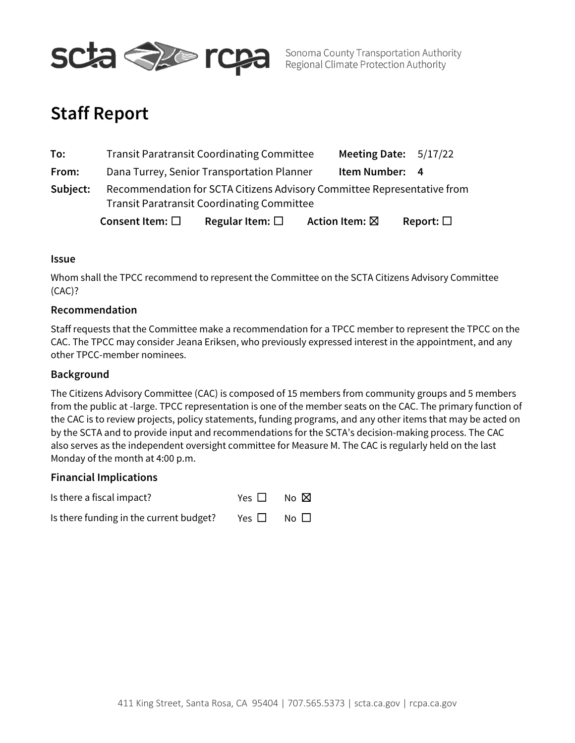

Sonoma County Transportation Authority Regional Climate Protection Authority

# **Staff Report**

|          | Consent Item: $\square$                                                 | Regular Item: $\square$ | Action Item: ⊠          | Report: $\square$ |
|----------|-------------------------------------------------------------------------|-------------------------|-------------------------|-------------------|
|          | <b>Transit Paratransit Coordinating Committee</b>                       |                         |                         |                   |
| Subject: | Recommendation for SCTA Citizens Advisory Committee Representative from |                         |                         |                   |
| From:    | Dana Turrey, Senior Transportation Planner<br>Item Number: 4            |                         |                         |                   |
| To:      | <b>Transit Paratransit Coordinating Committee</b>                       |                         | Meeting Date: $5/17/22$ |                   |

#### **Issue**

Whom shall the TPCC recommend to represent the Committee on the SCTA Citizens Advisory Committee (CAC)?

#### **Recommendation**

Staff requests that the Committee make a recommendation for a TPCC member to represent the TPCC on the CAC. The TPCC may consider Jeana Eriksen, who previously expressed interest in the appointment, and any other TPCC-member nominees.

#### **Background**

The Citizens Advisory Committee (CAC) is composed of 15 members from community groups and 5 members from the public at large. TPCC representation is one of the member seats on the CAC. The primary function of the CAC is to review projects, policy statements, funding programs, and any other items that may be acted on by the SCTA and to provide input and recommendations for the SCTA's decision-making process. The CAC also serves as the independent oversight committee for Measure M. The CAC is regularly held on the last Monday of the month at 4:00 p.m.

#### **Financial Implications**

Is there a fiscal impact? Yes □ No ⊠ Is there funding in the current budget? Yes  $\Box$  No  $\Box$